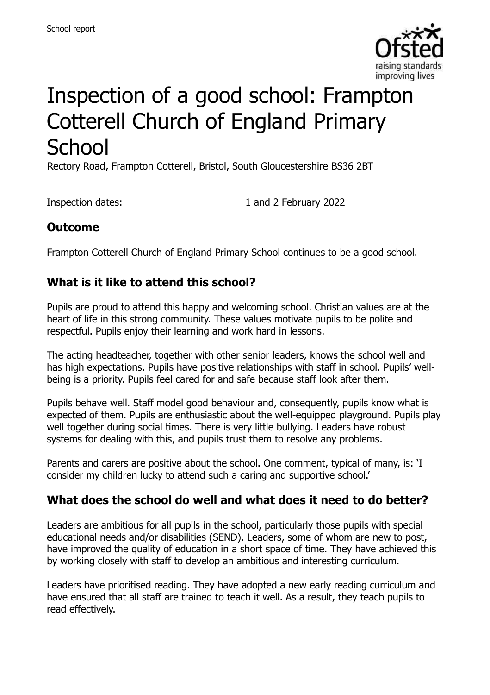

# Inspection of a good school: Frampton Cotterell Church of England Primary **School**

Rectory Road, Frampton Cotterell, Bristol, South Gloucestershire BS36 2BT

Inspection dates: 1 and 2 February 2022

# **Outcome**

Frampton Cotterell Church of England Primary School continues to be a good school.

# **What is it like to attend this school?**

Pupils are proud to attend this happy and welcoming school. Christian values are at the heart of life in this strong community. These values motivate pupils to be polite and respectful. Pupils enjoy their learning and work hard in lessons.

The acting headteacher, together with other senior leaders, knows the school well and has high expectations. Pupils have positive relationships with staff in school. Pupils' wellbeing is a priority. Pupils feel cared for and safe because staff look after them.

Pupils behave well. Staff model good behaviour and, consequently, pupils know what is expected of them. Pupils are enthusiastic about the well-equipped playground. Pupils play well together during social times. There is very little bullying. Leaders have robust systems for dealing with this, and pupils trust them to resolve any problems.

Parents and carers are positive about the school. One comment, typical of many, is: 'I consider my children lucky to attend such a caring and supportive school.'

#### **What does the school do well and what does it need to do better?**

Leaders are ambitious for all pupils in the school, particularly those pupils with special educational needs and/or disabilities (SEND). Leaders, some of whom are new to post, have improved the quality of education in a short space of time. They have achieved this by working closely with staff to develop an ambitious and interesting curriculum.

Leaders have prioritised reading. They have adopted a new early reading curriculum and have ensured that all staff are trained to teach it well. As a result, they teach pupils to read effectively.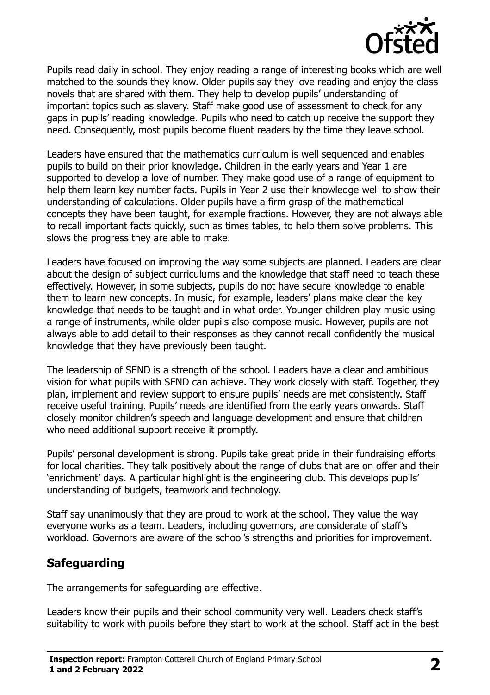

Pupils read daily in school. They enjoy reading a range of interesting books which are well matched to the sounds they know. Older pupils say they love reading and enjoy the class novels that are shared with them. They help to develop pupils' understanding of important topics such as slavery. Staff make good use of assessment to check for any gaps in pupils' reading knowledge. Pupils who need to catch up receive the support they need. Consequently, most pupils become fluent readers by the time they leave school.

Leaders have ensured that the mathematics curriculum is well sequenced and enables pupils to build on their prior knowledge. Children in the early years and Year 1 are supported to develop a love of number. They make good use of a range of equipment to help them learn key number facts. Pupils in Year 2 use their knowledge well to show their understanding of calculations. Older pupils have a firm grasp of the mathematical concepts they have been taught, for example fractions. However, they are not always able to recall important facts quickly, such as times tables, to help them solve problems. This slows the progress they are able to make.

Leaders have focused on improving the way some subjects are planned. Leaders are clear about the design of subject curriculums and the knowledge that staff need to teach these effectively. However, in some subjects, pupils do not have secure knowledge to enable them to learn new concepts. In music, for example, leaders' plans make clear the key knowledge that needs to be taught and in what order. Younger children play music using a range of instruments, while older pupils also compose music. However, pupils are not always able to add detail to their responses as they cannot recall confidently the musical knowledge that they have previously been taught.

The leadership of SEND is a strength of the school. Leaders have a clear and ambitious vision for what pupils with SEND can achieve. They work closely with staff. Together, they plan, implement and review support to ensure pupils' needs are met consistently. Staff receive useful training. Pupils' needs are identified from the early years onwards. Staff closely monitor children's speech and language development and ensure that children who need additional support receive it promptly.

Pupils' personal development is strong. Pupils take great pride in their fundraising efforts for local charities. They talk positively about the range of clubs that are on offer and their 'enrichment' days. A particular highlight is the engineering club. This develops pupils' understanding of budgets, teamwork and technology.

Staff say unanimously that they are proud to work at the school. They value the way everyone works as a team. Leaders, including governors, are considerate of staff's workload. Governors are aware of the school's strengths and priorities for improvement.

# **Safeguarding**

The arrangements for safeguarding are effective.

Leaders know their pupils and their school community very well. Leaders check staff's suitability to work with pupils before they start to work at the school. Staff act in the best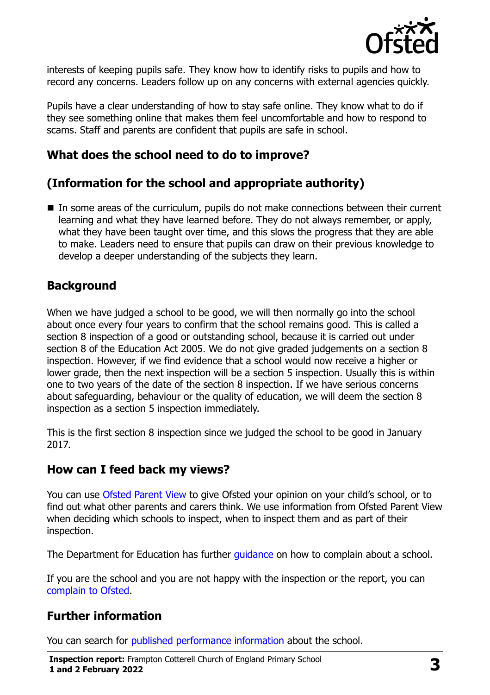

interests of keeping pupils safe. They know how to identify risks to pupils and how to record any concerns. Leaders follow up on any concerns with external agencies quickly.

Pupils have a clear understanding of how to stay safe online. They know what to do if they see something online that makes them feel uncomfortable and how to respond to scams. Staff and parents are confident that pupils are safe in school.

# **What does the school need to do to improve?**

# **(Information for the school and appropriate authority)**

■ In some areas of the curriculum, pupils do not make connections between their current learning and what they have learned before. They do not always remember, or apply, what they have been taught over time, and this slows the progress that they are able to make. Leaders need to ensure that pupils can draw on their previous knowledge to develop a deeper understanding of the subjects they learn.

# **Background**

When we have judged a school to be good, we will then normally go into the school about once every four years to confirm that the school remains good. This is called a section 8 inspection of a good or outstanding school, because it is carried out under section 8 of the Education Act 2005. We do not give graded judgements on a section 8 inspection. However, if we find evidence that a school would now receive a higher or lower grade, then the next inspection will be a section 5 inspection. Usually this is within one to two years of the date of the section 8 inspection. If we have serious concerns about safeguarding, behaviour or the quality of education, we will deem the section 8 inspection as a section 5 inspection immediately.

This is the first section 8 inspection since we judged the school to be good in January 2017.

# **How can I feed back my views?**

You can use [Ofsted Parent View](https://parentview.ofsted.gov.uk/) to give Ofsted your opinion on your child's school, or to find out what other parents and carers think. We use information from Ofsted Parent View when deciding which schools to inspect, when to inspect them and as part of their inspection.

The Department for Education has further quidance on how to complain about a school.

If you are the school and you are not happy with the inspection or the report, you can [complain to Ofsted.](https://www.gov.uk/complain-ofsted-report)

# **Further information**

You can search for [published performance information](http://www.compare-school-performance.service.gov.uk/) about the school.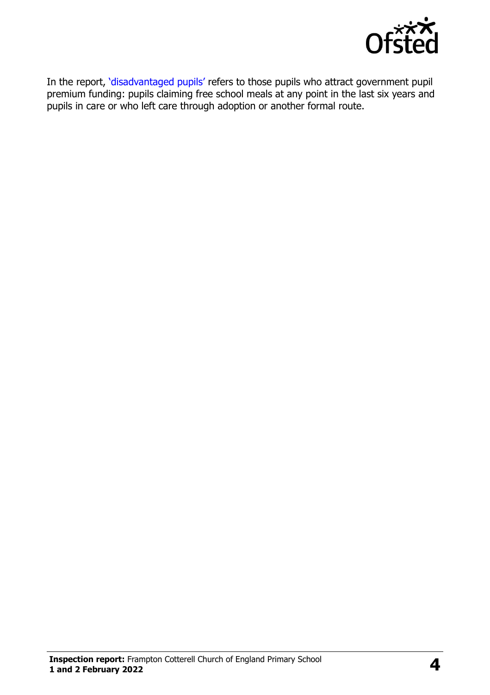

In the report, '[disadvantaged pupils](http://www.gov.uk/guidance/pupil-premium-information-for-schools-and-alternative-provision-settings)' refers to those pupils who attract government pupil premium funding: pupils claiming free school meals at any point in the last six years and pupils in care or who left care through adoption or another formal route.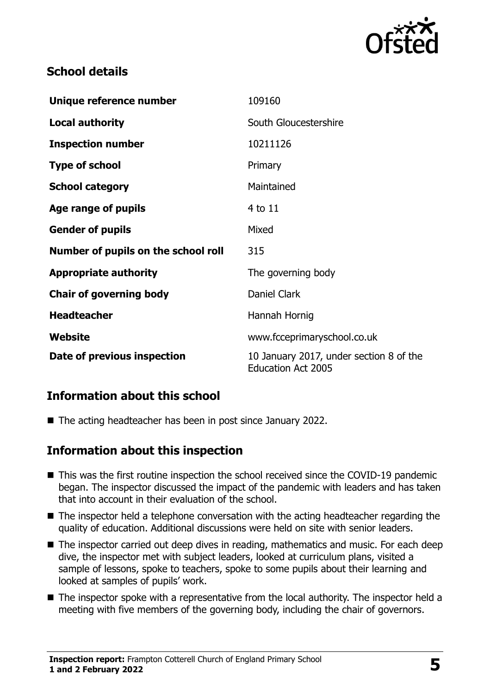

# **School details**

| Unique reference number             | 109160                                                               |
|-------------------------------------|----------------------------------------------------------------------|
| <b>Local authority</b>              | South Gloucestershire                                                |
| <b>Inspection number</b>            | 10211126                                                             |
| <b>Type of school</b>               | Primary                                                              |
| <b>School category</b>              | Maintained                                                           |
| Age range of pupils                 | $4$ to $11$                                                          |
| <b>Gender of pupils</b>             | Mixed                                                                |
| Number of pupils on the school roll | 315                                                                  |
| <b>Appropriate authority</b>        | The governing body                                                   |
| <b>Chair of governing body</b>      | <b>Daniel Clark</b>                                                  |
| <b>Headteacher</b>                  | Hannah Hornig                                                        |
| Website                             | www.fcceprimaryschool.co.uk                                          |
| Date of previous inspection         | 10 January 2017, under section 8 of the<br><b>Education Act 2005</b> |

#### **Information about this school**

■ The acting headteacher has been in post since January 2022.

#### **Information about this inspection**

- This was the first routine inspection the school received since the COVID-19 pandemic began. The inspector discussed the impact of the pandemic with leaders and has taken that into account in their evaluation of the school.
- The inspector held a telephone conversation with the acting headteacher regarding the quality of education. Additional discussions were held on site with senior leaders.
- The inspector carried out deep dives in reading, mathematics and music. For each deep dive, the inspector met with subject leaders, looked at curriculum plans, visited a sample of lessons, spoke to teachers, spoke to some pupils about their learning and looked at samples of pupils' work.
- The inspector spoke with a representative from the local authority. The inspector held a meeting with five members of the governing body, including the chair of governors.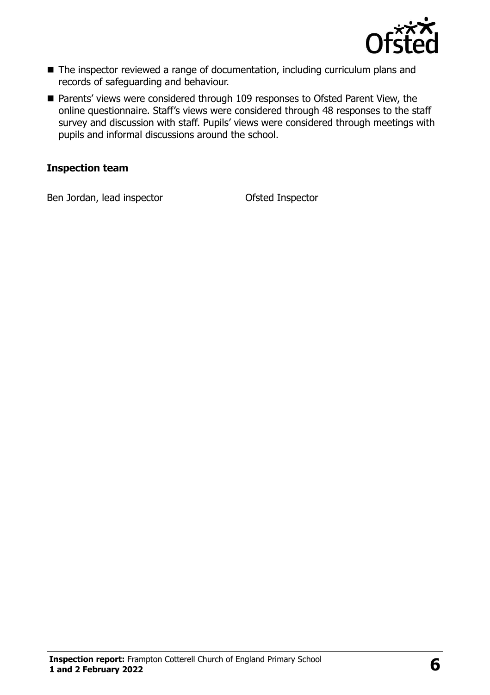

- The inspector reviewed a range of documentation, including curriculum plans and records of safeguarding and behaviour.
- Parents' views were considered through 109 responses to Ofsted Parent View, the online questionnaire. Staff's views were considered through 48 responses to the staff survey and discussion with staff. Pupils' views were considered through meetings with pupils and informal discussions around the school.

#### **Inspection team**

Ben Jordan, lead inspector **CEP CONTER CONTERNATION** Ofsted Inspector